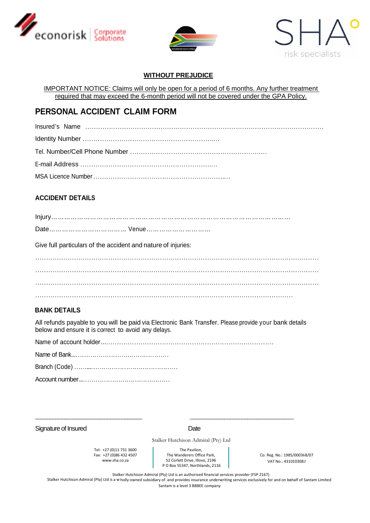





### **WITHOUT PREJUDICE**

IMPORTANT NOTICE: Claims will only be open for a period of 6 months. Any further treatment required that may exceed the 6-month period will not be covered under the GPA Policy.

# **PERSONAL ACCIDENT CLAIM FORM**

## **ACCIDENT DETAILS**

Injury*…………………………………………………………………………………………………*

Date*………………………………* Venue*…………………………*

Give full particulars of the accident and nature of injuries:

…………………………………………………………………………………………………………………… …………………………………………………………………………………………………………………… ……………………………………………………………………………………………………………………  $\mathbb{R}^n$  . The contract of the contract of the contract of the contract of the contract of the contract of the contract of the contract of the contract of the contract of the contract of the contract of the contract of

### **BANK DETAILS**

All refunds payable to you will be paid via Electronic Bank Transfer. Please provide your bank details below and ensure it is correct to avoid any delays.

Name of account holder...……………………………………………………………………

\_\_\_\_\_\_\_\_\_\_\_\_\_\_\_\_\_\_\_\_\_\_\_\_\_\_\_\_\_\_\_\_\_\_\_\_\_ \_\_\_\_\_\_\_\_\_\_\_\_\_\_\_\_\_\_\_\_\_\_\_\_\_\_\_\_\_\_\_\_\_\_\_\_

|--|--|

Branch (Code) ……...……………………………………

Account number...……………………………………

Signature of Insured Date

Stalker Hutchison Admiral (Pty) Ltd

Tel: +27 (0)11 731 3600 Fax: +27 (0)86 432 4507 www.sha.co.za

The Pavilion, The Wanderers Office Park, 52 Corlett Drive, Illovo, 2196 P O Box 55347, Northlands, 2116

Co. Reg. No.: 1985/000368/07 VAT No.: 4310103082

Stalker Hutchison Admiral (Pty) Ltd is an authorised financial services provider (FSP 2167).

Stalker Hutchison Admiral (Pty) Ltd is a w holly owned subsidiary of and provides insurance underwriting services exclusively for and on behalf of Santam Limited Santam is a level 3 BBBEE company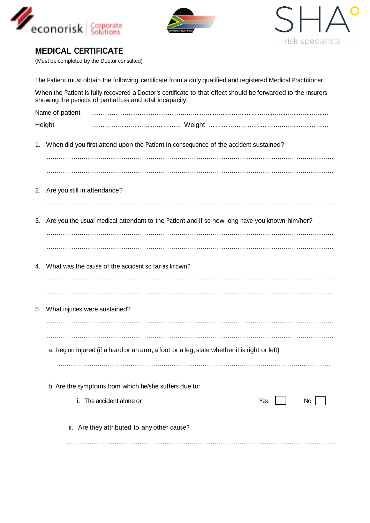





(Must be completed by the Doctor consulted)

| The Patient must obtain the following certificate from a duly qualified and registered Medical Practitioner.                                                               |                                                                                                 |  |  |  |  |
|----------------------------------------------------------------------------------------------------------------------------------------------------------------------------|-------------------------------------------------------------------------------------------------|--|--|--|--|
| When the Patient is fully recovered a Doctor's certificate to that effect should be forwarded to the Insurers<br>showing the periods of partial loss and total incapacity. |                                                                                                 |  |  |  |  |
|                                                                                                                                                                            | Name of patient                                                                                 |  |  |  |  |
|                                                                                                                                                                            | Height                                                                                          |  |  |  |  |
| 1.                                                                                                                                                                         | When did you first attend upon the Patient in consequence of the accident sustained?            |  |  |  |  |
| 2.                                                                                                                                                                         | Are you still in attendance?                                                                    |  |  |  |  |
| 3.                                                                                                                                                                         | Are you the usual medical attendant to the Patient and if so how long have you known him/her?   |  |  |  |  |
| 4.                                                                                                                                                                         | What was the cause of the accident so far as known?                                             |  |  |  |  |
| 5.                                                                                                                                                                         | What injuries were sustained?                                                                   |  |  |  |  |
|                                                                                                                                                                            | a. Region injured (if a hand or an arm, a foot or a leg, state whether it is right or left)     |  |  |  |  |
|                                                                                                                                                                            | b. Are the symptoms from which he/she suffers due to:<br>i. The accident alone or<br>Yes<br>No. |  |  |  |  |
|                                                                                                                                                                            | ii. Are they attributed to any other cause?                                                     |  |  |  |  |
|                                                                                                                                                                            |                                                                                                 |  |  |  |  |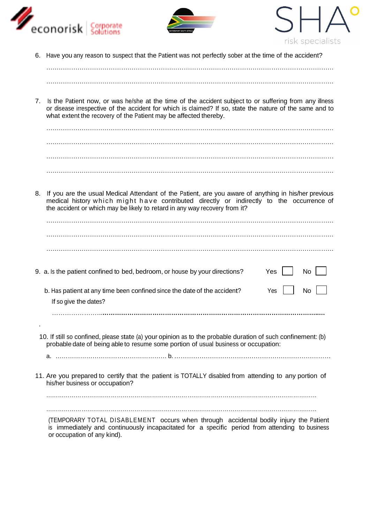





6. Have you any reason to suspect that the Patient was not perfectly sober at the time of the accident?

…………………………………………………………………………………………………………………………

7. Is the Patient now, or was he/she at the time of the accident subject to or suffering from any illness or disease irrespective of the accident for which is claimed? If so, state the nature of the same and to what extent the recovery of the Patient may be affected thereby.

………………………………………………………………………………………………………………………… ………………………………………………………………………………………………………………………… …………………………………………………………………………………………………………………………

8. If you are the usual Medical Attendant of the Patient, are you aware of anything in his/her previous medical history which might have contributed directly or indirectly to the occurrence of the accident or which may be likely to retard in any way recovery from it?

| 9. a. Is the patient confined to bed, bedroom, or house by your directions?                                                                                                                         | Yes | No l |
|-----------------------------------------------------------------------------------------------------------------------------------------------------------------------------------------------------|-----|------|
| b. Has patient at any time been confined since the date of the accident?                                                                                                                            | Yes | No.  |
| If so give the dates?                                                                                                                                                                               |     |      |
|                                                                                                                                                                                                     |     |      |
|                                                                                                                                                                                                     |     |      |
| 10. If still so confined, please state (a) your opinion as to the probable duration of such confinement: (b)<br>probable date of being able to resume some portion of usual business or occupation: |     |      |
|                                                                                                                                                                                                     |     |      |
|                                                                                                                                                                                                     |     |      |
| 11 Are you propored to pertify that the patient is TOTALLY disobled from attending to enviroring of                                                                                                 |     |      |

11. Are you prepared to certify that the patient is TOTALLY disabled from attending to any portion of his/her business or occupation?

…………………………………………………………………………………………………………………………

…………………………………………………………………………………………………………………………

(TEMPORARY TOTAL DISABLEMENT occurs when through accidental bodily injury the Patient is immediately and continuously incapacitated for a specific period from attending to business or occupation of any kind).